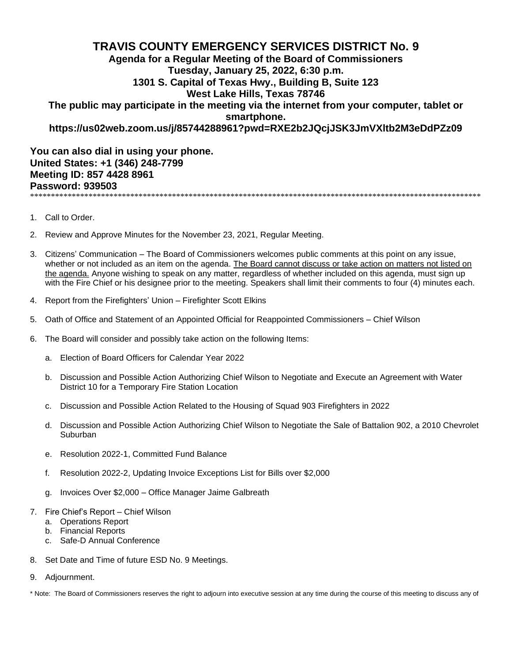## **TRAVIS COUNTY EMERGENCY SERVICES DISTRICT No. 9 Agenda for a Regular Meeting of the Board of Commissioners Tuesday, January 25, 2022, 6:30 p.m. 1301 S. Capital of Texas Hwy., Building B, Suite 123 West Lake Hills, Texas 78746 The public may participate in the meeting via the internet from your computer, tablet or smartphone. https://us02web.zoom.us/j/85744288961?pwd=RXE2b2JQcjJSK3JmVXltb2M3eDdPZz09**

**You can also dial in using your phone. United States: +1 (346) 248-7799 Meeting ID: 857 4428 8961 Password: 939503** \*\*\*\*\*\*\*\*\*\*\*\*\*\*\*\*\*\*\*\*\*\*\*\*\*\*\*\*\*\*\*\*\*\*\*\*\*\*\*\*\*\*\*\*\*\*\*\*\*\*\*\*\*\*\*\*\*\*\*\*\*\*\*\*\*\*\*\*\*\*\*\*\*\*\*\*\*\*\*\*\*\*\*\*\*\*\*\*\*\*\*\*\*\*\*\*\*\*\*\*\*\*\*\*\*\*\*\*

- 1. Call to Order.
- 2. Review and Approve Minutes for the November 23, 2021, Regular Meeting.
- 3. Citizens' Communication The Board of Commissioners welcomes public comments at this point on any issue, whether or not included as an item on the agenda. The Board cannot discuss or take action on matters not listed on the agenda. Anyone wishing to speak on any matter, regardless of whether included on this agenda, must sign up with the Fire Chief or his designee prior to the meeting. Speakers shall limit their comments to four (4) minutes each.
- 4. Report from the Firefighters' Union Firefighter Scott Elkins
- 5. Oath of Office and Statement of an Appointed Official for Reappointed Commissioners Chief Wilson
- 6. The Board will consider and possibly take action on the following Items:
	- a. Election of Board Officers for Calendar Year 2022
	- b. Discussion and Possible Action Authorizing Chief Wilson to Negotiate and Execute an Agreement with Water District 10 for a Temporary Fire Station Location
	- c. Discussion and Possible Action Related to the Housing of Squad 903 Firefighters in 2022
	- d. Discussion and Possible Action Authorizing Chief Wilson to Negotiate the Sale of Battalion 902, a 2010 Chevrolet Suburban
	- e. Resolution 2022-1, Committed Fund Balance
	- f. Resolution 2022-2, Updating Invoice Exceptions List for Bills over \$2,000
	- g. Invoices Over \$2,000 Office Manager Jaime Galbreath
- 7. Fire Chief's Report Chief Wilson
	- a. Operations Report
	- b. Financial Reports
	- c. Safe-D Annual Conference
- 8. Set Date and Time of future ESD No. 9 Meetings.
- 9. Adjournment.

\* Note: The Board of Commissioners reserves the right to adjourn into executive session at any time during the course of this meeting to discuss any of